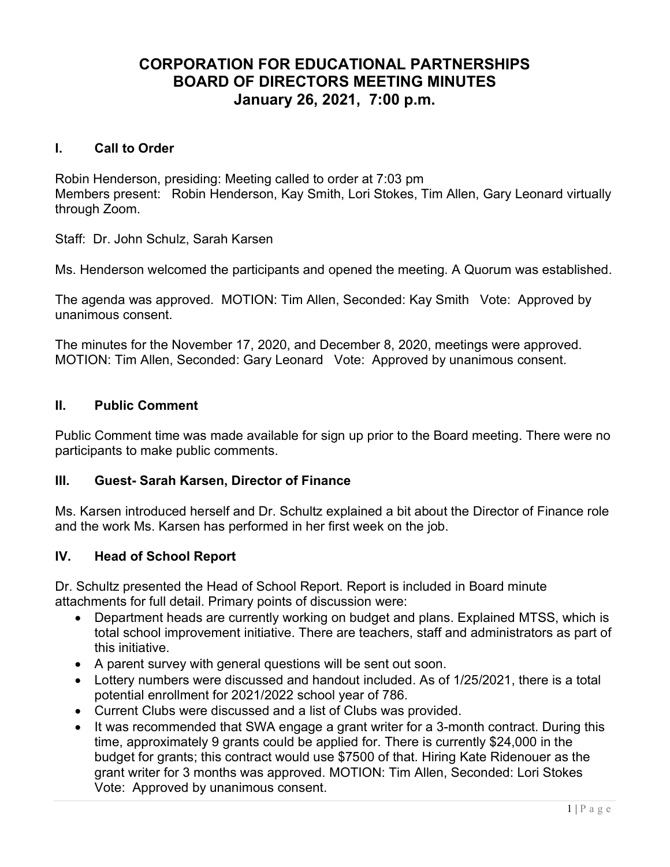# CORPORATION FOR EDUCATIONAL PARTNERSHIPS BOARD OF DIRECTORS MEETING MINUTES January 26, 2021, 7:00 p.m.

#### I. Call to Order

Robin Henderson, presiding: Meeting called to order at 7:03 pm Members present: Robin Henderson, Kay Smith, Lori Stokes, Tim Allen, Gary Leonard virtually through Zoom.

Staff: Dr. John Schulz, Sarah Karsen

Ms. Henderson welcomed the participants and opened the meeting. A Quorum was established.

The agenda was approved. MOTION: Tim Allen, Seconded: Kay Smith Vote: Approved by unanimous consent.

The minutes for the November 17, 2020, and December 8, 2020, meetings were approved. MOTION: Tim Allen, Seconded: Gary Leonard Vote: Approved by unanimous consent.

# II. Public Comment

Public Comment time was made available for sign up prior to the Board meeting. There were no participants to make public comments.

#### III. Guest- Sarah Karsen, Director of Finance

Ms. Karsen introduced herself and Dr. Schultz explained a bit about the Director of Finance role and the work Ms. Karsen has performed in her first week on the job.

# IV. Head of School Report

Dr. Schultz presented the Head of School Report. Report is included in Board minute attachments for full detail. Primary points of discussion were:

- Department heads are currently working on budget and plans. Explained MTSS, which is total school improvement initiative. There are teachers, staff and administrators as part of this initiative.
- A parent survey with general questions will be sent out soon.
- Lottery numbers were discussed and handout included. As of 1/25/2021, there is a total potential enrollment for 2021/2022 school year of 786.
- Current Clubs were discussed and a list of Clubs was provided.
- It was recommended that SWA engage a grant writer for a 3-month contract. During this time, approximately 9 grants could be applied for. There is currently \$24,000 in the budget for grants; this contract would use \$7500 of that. Hiring Kate Ridenouer as the grant writer for 3 months was approved. MOTION: Tim Allen, Seconded: Lori Stokes Vote: Approved by unanimous consent.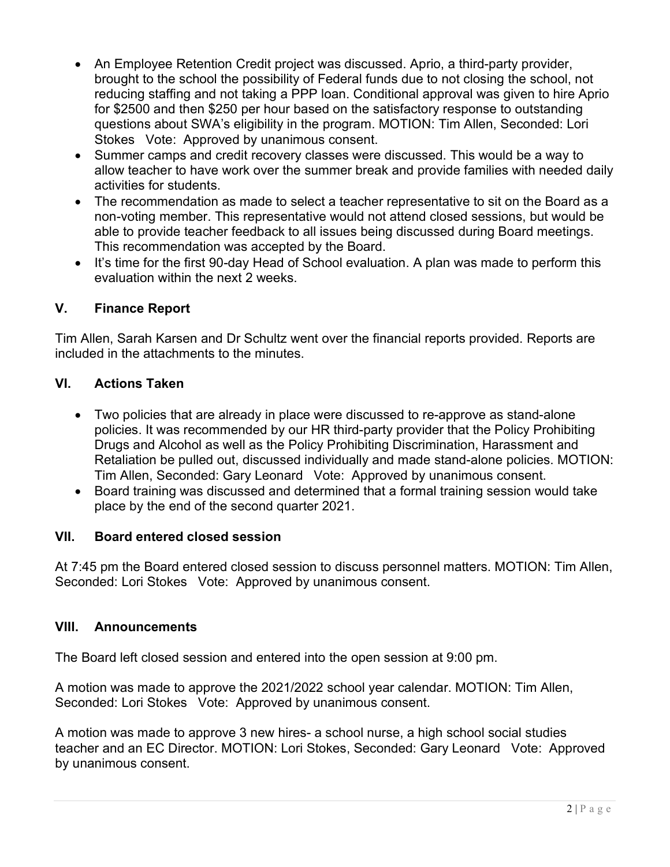- An Employee Retention Credit project was discussed. Aprio, a third-party provider, brought to the school the possibility of Federal funds due to not closing the school, not reducing staffing and not taking a PPP loan. Conditional approval was given to hire Aprio for \$2500 and then \$250 per hour based on the satisfactory response to outstanding questions about SWA's eligibility in the program. MOTION: Tim Allen, Seconded: Lori Stokes Vote: Approved by unanimous consent.
- Summer camps and credit recovery classes were discussed. This would be a way to allow teacher to have work over the summer break and provide families with needed daily activities for students.
- The recommendation as made to select a teacher representative to sit on the Board as a non-voting member. This representative would not attend closed sessions, but would be able to provide teacher feedback to all issues being discussed during Board meetings. This recommendation was accepted by the Board.
- It's time for the first 90-day Head of School evaluation. A plan was made to perform this evaluation within the next 2 weeks.

# V. Finance Report

Tim Allen, Sarah Karsen and Dr Schultz went over the financial reports provided. Reports are included in the attachments to the minutes.

# VI. Actions Taken

- Two policies that are already in place were discussed to re-approve as stand-alone policies. It was recommended by our HR third-party provider that the Policy Prohibiting Drugs and Alcohol as well as the Policy Prohibiting Discrimination, Harassment and Retaliation be pulled out, discussed individually and made stand-alone policies. MOTION: Tim Allen, Seconded: Gary Leonard Vote: Approved by unanimous consent.
- Board training was discussed and determined that a formal training session would take place by the end of the second quarter 2021.

# VII. Board entered closed session

At 7:45 pm the Board entered closed session to discuss personnel matters. MOTION: Tim Allen, Seconded: Lori Stokes Vote: Approved by unanimous consent.

# VIII. Announcements

The Board left closed session and entered into the open session at 9:00 pm.

A motion was made to approve the 2021/2022 school year calendar. MOTION: Tim Allen, Seconded: Lori Stokes Vote: Approved by unanimous consent.

A motion was made to approve 3 new hires- a school nurse, a high school social studies teacher and an EC Director. MOTION: Lori Stokes, Seconded: Gary Leonard Vote: Approved by unanimous consent.